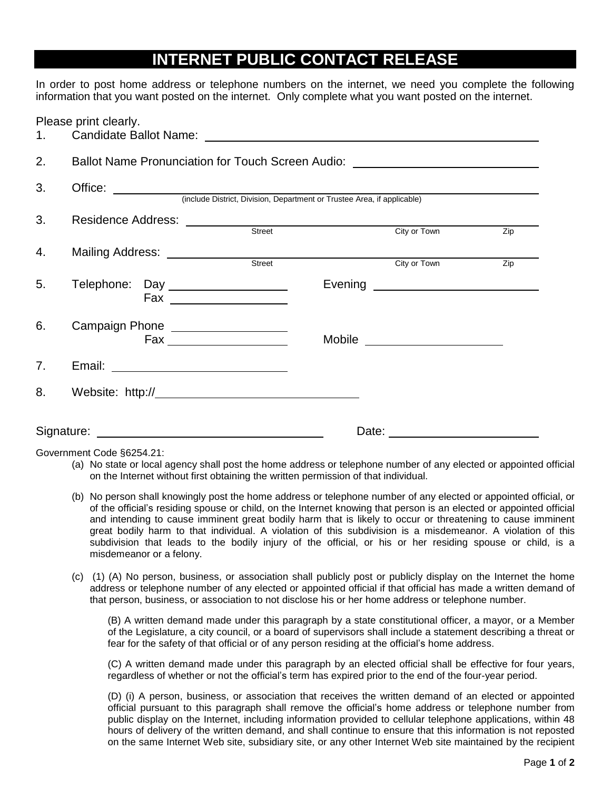## **INTERNET PUBLIC CONTACT RELEASE**

In order to post home address or telephone numbers on the internet, we need you complete the following information that you want posted on the internet. Only complete what you want posted on the internet.

| 1. | Please print clearly.                                                            |        |  |                                                                                                                                                                                                                                |     |
|----|----------------------------------------------------------------------------------|--------|--|--------------------------------------------------------------------------------------------------------------------------------------------------------------------------------------------------------------------------------|-----|
| 2. | Ballot Name Pronunciation for Touch Screen Audio: ______________________________ |        |  |                                                                                                                                                                                                                                |     |
| 3. | Office: (include District, Division, Department or Trustee Area, if applicable)  |        |  |                                                                                                                                                                                                                                |     |
| 3. |                                                                                  | Street |  | City or Town                                                                                                                                                                                                                   | Zip |
| 4. |                                                                                  |        |  | City or Town                                                                                                                                                                                                                   | Zip |
| 5. | Telephone: Day _____________________                                             |        |  |                                                                                                                                                                                                                                |     |
| 6. | Campaign Phone __________________                                                |        |  | Mobile _______________________                                                                                                                                                                                                 |     |
| 7. |                                                                                  |        |  |                                                                                                                                                                                                                                |     |
| 8. |                                                                                  |        |  |                                                                                                                                                                                                                                |     |
|    |                                                                                  |        |  | Date: the contract of the contract of the contract of the contract of the contract of the contract of the contract of the contract of the contract of the contract of the contract of the contract of the contract of the cont |     |

Government Code §6254.21:

- (a) No state or local agency shall post the home address or telephone number of any elected or appointed official on the Internet without first obtaining the written permission of that individual.
- (b) No person shall knowingly post the home address or telephone number of any elected or appointed official, or of the official's residing spouse or child, on the Internet knowing that person is an elected or appointed official and intending to cause imminent great bodily harm that is likely to occur or threatening to cause imminent great bodily harm to that individual. A violation of this subdivision is a misdemeanor. A violation of this subdivision that leads to the bodily injury of the official, or his or her residing spouse or child, is a misdemeanor or a felony.
- (c) (1) (A) No person, business, or association shall publicly post or publicly display on the Internet the home address or telephone number of any elected or appointed official if that official has made a written demand of that person, business, or association to not disclose his or her home address or telephone number.

(B) A written demand made under this paragraph by a state constitutional officer, a mayor, or a Member of the Legislature, a city council, or a board of supervisors shall include a statement describing a threat or fear for the safety of that official or of any person residing at the official's home address.

(C) A written demand made under this paragraph by an elected official shall be effective for four years, regardless of whether or not the official's term has expired prior to the end of the four-year period.

(D) (i) A person, business, or association that receives the written demand of an elected or appointed official pursuant to this paragraph shall remove the official's home address or telephone number from public display on the Internet, including information provided to cellular telephone applications, within 48 hours of delivery of the written demand, and shall continue to ensure that this information is not reposted on the same Internet Web site, subsidiary site, or any other Internet Web site maintained by the recipient